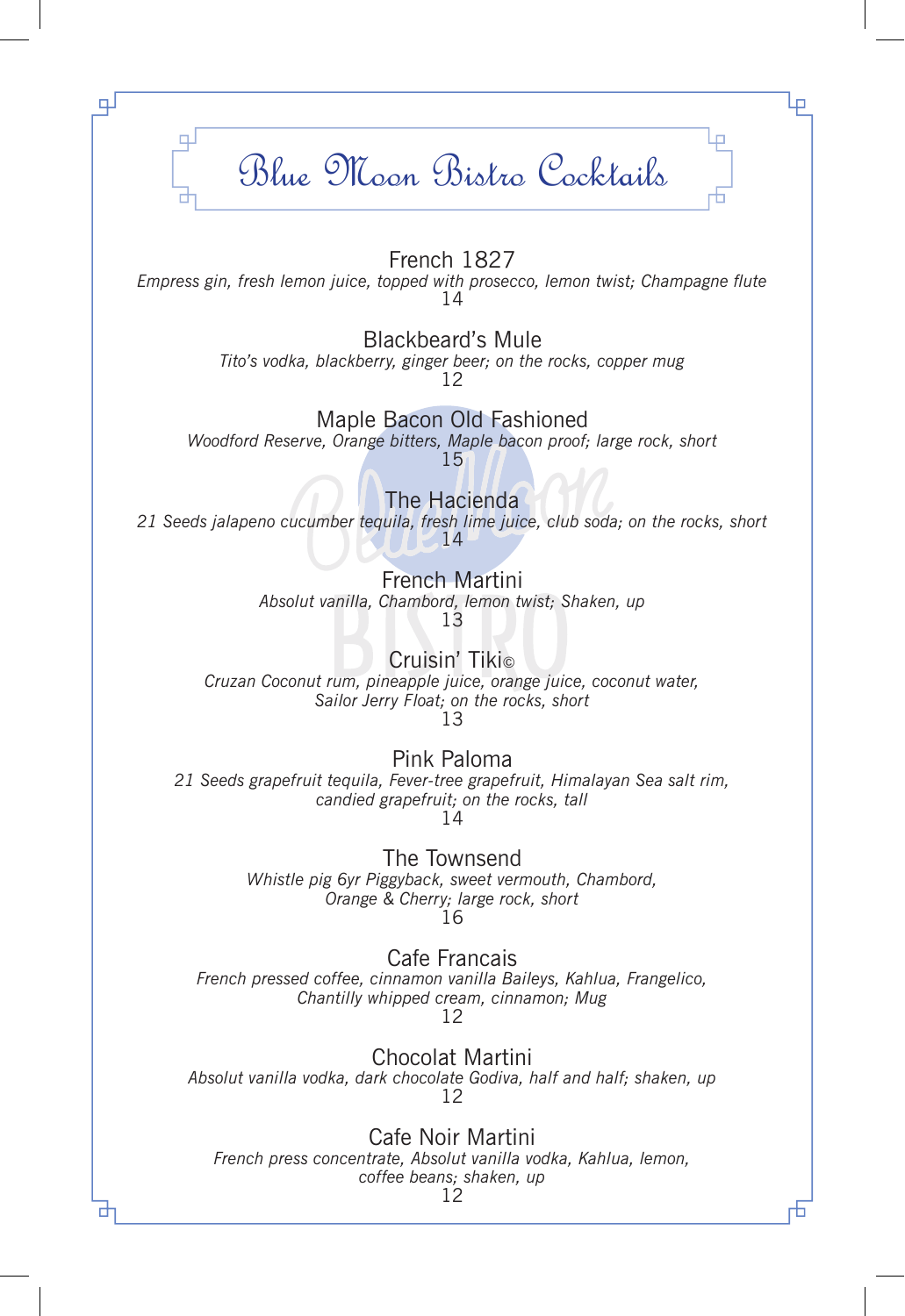## Blue Moon Bistro Cocktails

⋥

Ц.

## French 1827

*Empress gin, fresh lemon juice, topped with prosecco, lemon twist; Champagne flute*  14

> Blackbeard's Mule *Tito's vodka, blackberry, ginger beer; on the rocks, copper mug* 12

> > Maple Bacon Old Fashioned

*Woodford Reserve, Orange bitters, Maple bacon proof; large rock, short* 15

The Hacienda

*21 Seeds jalapeno cucumber tequila, fresh lime juice, club soda; on the rocks, short*   $-14$ 

> French Martini *Absolut vanilla, Chambord, lemon twist; Shaken, up* 13

Cruisin' Tiki© *Cruzan Coconut rum, pineapple juice, orange juice, coconut water, Sailor Jerry Float; on the rocks, short* 13

Pink Paloma *21 Seeds grapefruit tequila, Fever-tree grapefruit, Himalayan Sea salt rim, candied grapefruit; on the rocks, tall* 14

> The Townsend *Whistle pig 6yr Piggyback, sweet vermouth, Chambord, Orange & Cherry; large rock, short*  16

Cafe Francais *French pressed coffee, cinnamon vanilla Baileys, Kahlua, Frangelico, Chantilly whipped cream, cinnamon; Mug*  12

Chocolat Martini *Absolut vanilla vodka, dark chocolate Godiva, half and half; shaken, up*  12

Cafe Noir Martini *French press concentrate, Absolut vanilla vodka, Kahlua, lemon, coffee beans; shaken, up* 

12

╄┓